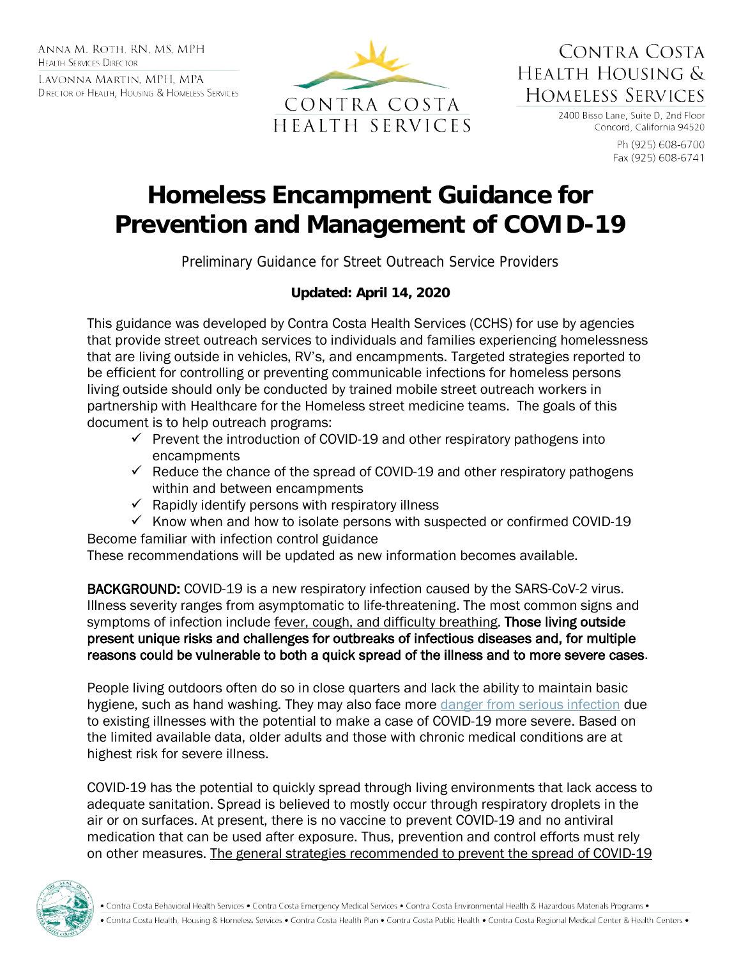ANNA M. ROTH. RN. MS. MPH **HEALTH SERVICES DIRECTOR** 

LAVONNA MARTIN, MPH, MPA DIRECTOR OF HEALTH, HOUSING & HOMELESS SERVICES



CONTRA COSTA HEALTH HOUSING & HOMELESS SERVICES

> 2400 Bisso Lane, Suite D, 2nd Floor Concord, California 94520

> > Ph (925) 608-6700 Fax (925) 608-6741

# **Homeless Encampment Guidance for Prevention and Management of COVID-19**

Preliminary Guidance for Street Outreach Service Providers

#### **Updated: April 14, 2020**

This guidance was developed by Contra Costa Health Services (CCHS) for use by agencies that provide street outreach services to individuals and families experiencing homelessness that are living outside in vehicles, RV's, and encampments. Targeted strategies reported to be efficient for controlling or preventing communicable infections for homeless persons living outside should only be conducted by trained mobile street outreach workers in partnership with Healthcare for the Homeless street medicine teams. The goals of this document is to help outreach programs:

- $\checkmark$  Prevent the introduction of COVID-19 and other respiratory pathogens into encampments
- $\checkmark$  Reduce the chance of the spread of COVID-19 and other respiratory pathogens within and between encampments
- $\checkmark$  Rapidly identify persons with respiratory illness
- $\checkmark$  Know when and how to isolate persons with suspected or confirmed COVID-19

Become familiar with infection control guidance These recommendations will be updated as new information becomes available.

BACKGROUND: COVID-19 is a new respiratory infection caused by the SARS-CoV-2 virus. Illness severity ranges from asymptomatic to life-threatening. The most common signs and symptoms of infection include fever, cough, and difficulty breathing. Those living outside present unique risks and challenges for outbreaks of infectious diseases and, for multiple reasons could be vulnerable to both a quick spread of the illness and to more severe cases.

People living outdoors often do so in close quarters and lack the ability to maintain basic hygiene, such as hand washing. They may also face more [danger from serious infection](https://www.latimes.com/business/story/2020-02-28/coronavirus-test-accuracy-flaw) due to existing illnesses with the potential to make a case of COVID-19 more severe. Based on the limited available data, older adults and those with chronic medical conditions are at highest risk for severe illness.

COVID-19 has the potential to quickly spread through living environments that lack access to adequate sanitation. Spread is believed to mostly occur through respiratory droplets in the air or on surfaces. At present, there is no vaccine to prevent COVID-19 and no antiviral medication that can be used after exposure. Thus, prevention and control efforts must rely on other measures. The general strategies recommended to prevent the spread of COVID-19

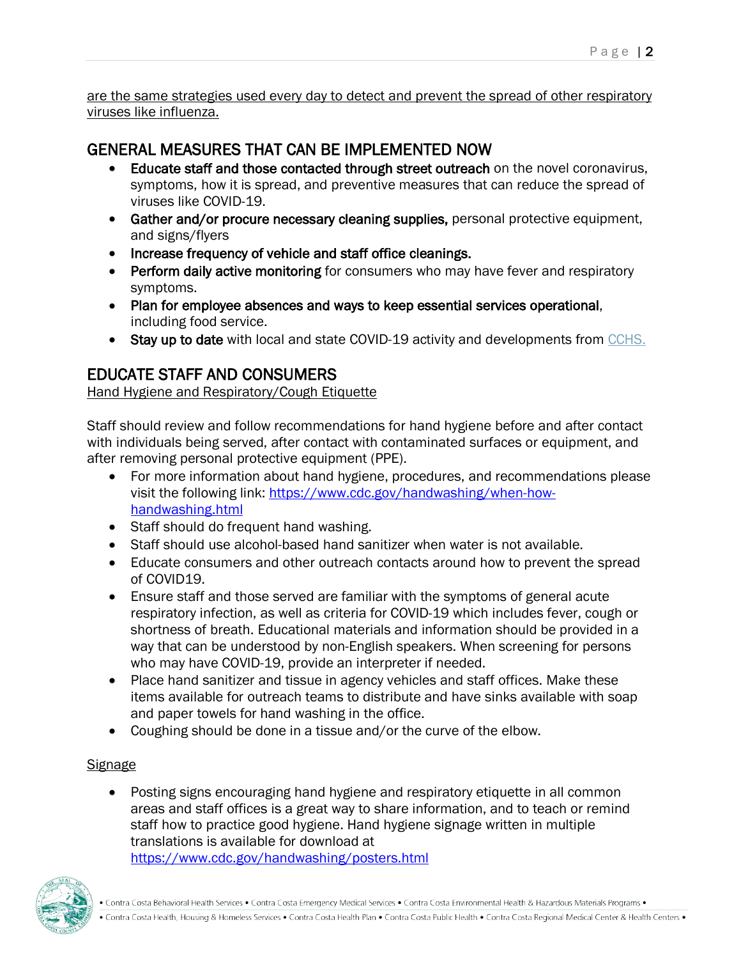are the same strategies used every day to detect and prevent the spread of other respiratory viruses like influenza.

## GENERAL MEASURES THAT CAN BE IMPLEMENTED NOW

- Educate staff and those contacted through street outreach on the novel coronavirus, symptoms, how it is spread, and preventive measures that can reduce the spread of viruses like COVID-19.
- Gather and/or procure necessary cleaning supplies, personal protective equipment, and signs/flyers
- Increase frequency of vehicle and staff office cleanings.
- Perform daily active monitoring for consumers who may have fever and respiratory symptoms.
- Plan for employee absences and ways to keep essential services operational, including food service.
- Stay up to date with local and state COVID-19 activity and developments from [CCHS.](https://www.coronavirus.cchealth.org/)

## EDUCATE STAFF AND CONSUMERS

Hand Hygiene and Respiratory/Cough Etiquette

Staff should review and follow recommendations for hand hygiene before and after contact with individuals being served, after contact with contaminated surfaces or equipment, and after removing personal protective equipment (PPE).

- For more information about hand hygiene, procedures, and recommendations please visit the following link: [https://www.cdc.gov/handwashing/when-how](https://www.cdc.gov/handwashing/when-how-handwashing.html)[handwashing.html](https://www.cdc.gov/handwashing/when-how-handwashing.html)
- Staff should do frequent hand washing.
- Staff should use alcohol-based hand sanitizer when water is not available.
- Educate consumers and other outreach contacts around how to prevent the spread of COVID19.
- Ensure staff and those served are familiar with the symptoms of general acute respiratory infection, as well as criteria for COVID-19 which includes fever, cough or shortness of breath. Educational materials and information should be provided in a way that can be understood by non-English speakers. When screening for persons who may have COVID-19, provide an interpreter if needed.
- Place hand sanitizer and tissue in agency vehicles and staff offices. Make these items available for outreach teams to distribute and have sinks available with soap and paper towels for hand washing in the office.
- Coughing should be done in a tissue and/or the curve of the elbow.

### **Signage**

• Posting signs encouraging hand hygiene and respiratory etiquette in all common areas and staff offices is a great way to share information, and to teach or remind staff how to practice good hygiene. Hand hygiene signage written in multiple translations is available for download at <https://www.cdc.gov/handwashing/posters.html>

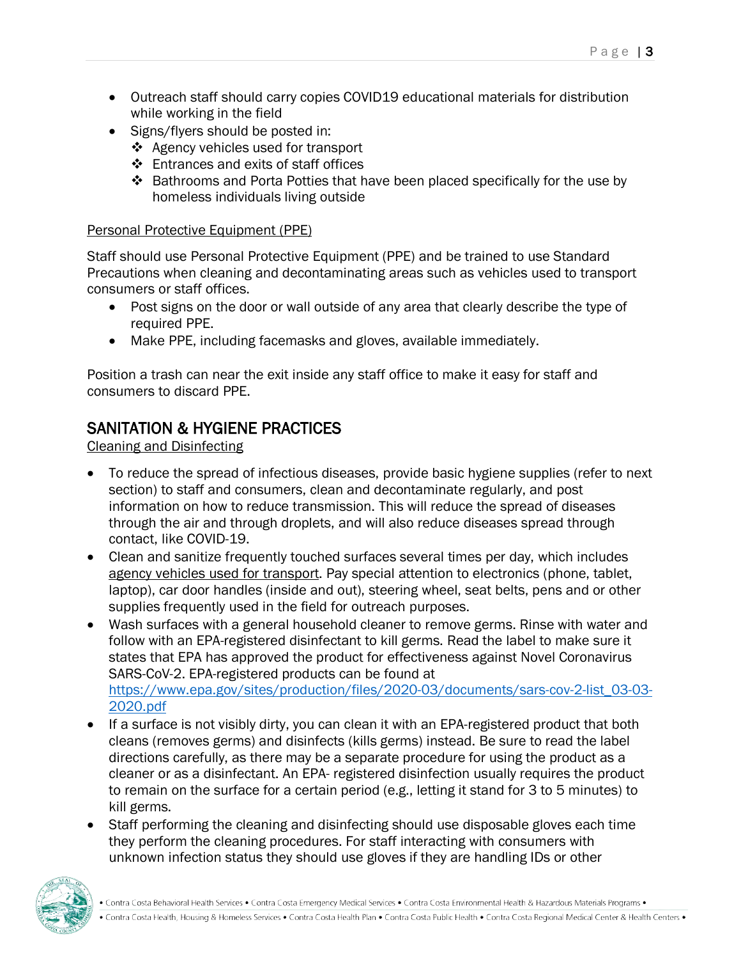- Outreach staff should carry copies COVID19 educational materials for distribution while working in the field
- Signs/flyers should be posted in:
	- Agency vehicles used for transport
	- ❖ Entrances and exits of staff offices
	- Bathrooms and Porta Potties that have been placed specifically for the use by homeless individuals living outside

#### Personal Protective Equipment (PPE)

Staff should use Personal Protective Equipment (PPE) and be trained to use Standard Precautions when cleaning and decontaminating areas such as vehicles used to transport consumers or staff offices.

- Post signs on the door or wall outside of any area that clearly describe the type of required PPE.
- Make PPE, including facemasks and gloves, available immediately.

Position a trash can near the exit inside any staff office to make it easy for staff and consumers to discard PPE.

## SANITATION & HYGIENE PRACTICES

Cleaning and Disinfecting

- To reduce the spread of infectious diseases, provide basic hygiene supplies (refer to next section) to staff and consumers, clean and decontaminate regularly, and post information on how to reduce transmission. This will reduce the spread of diseases through the air and through droplets, and will also reduce diseases spread through contact, like COVID-19.
- Clean and sanitize frequently touched surfaces several times per day, which includes agency vehicles used for transport. Pay special attention to electronics (phone, tablet, laptop), car door handles (inside and out), steering wheel, seat belts, pens and or other supplies frequently used in the field for outreach purposes.
- Wash surfaces with a general household cleaner to remove germs. Rinse with water and follow with an EPA-registered disinfectant to kill germs. Read the label to make sure it states that EPA has approved the product for effectiveness against Novel Coronavirus SARS-CoV-2. EPA-registered products can be found at [https://www.epa.gov/sites/production/files/2020-03/documents/sars-cov-2-list\\_03-03-](https://www.epa.gov/sites/production/files/2020-03/documents/sars-cov-2-list_03-03-2020.pdf) [2020.pdf](https://www.epa.gov/sites/production/files/2020-03/documents/sars-cov-2-list_03-03-2020.pdf)
- If a surface is not visibly dirty, you can clean it with an EPA-registered product that both cleans (removes germs) and disinfects (kills germs) instead. Be sure to read the label directions carefully, as there may be a separate procedure for using the product as a cleaner or as a disinfectant. An EPA- registered disinfection usually requires the product to remain on the surface for a certain period (e.g., letting it stand for 3 to 5 minutes) to kill germs.
- Staff performing the cleaning and disinfecting should use disposable gloves each time they perform the cleaning procedures. For staff interacting with consumers with unknown infection status they should use gloves if they are handling IDs or other

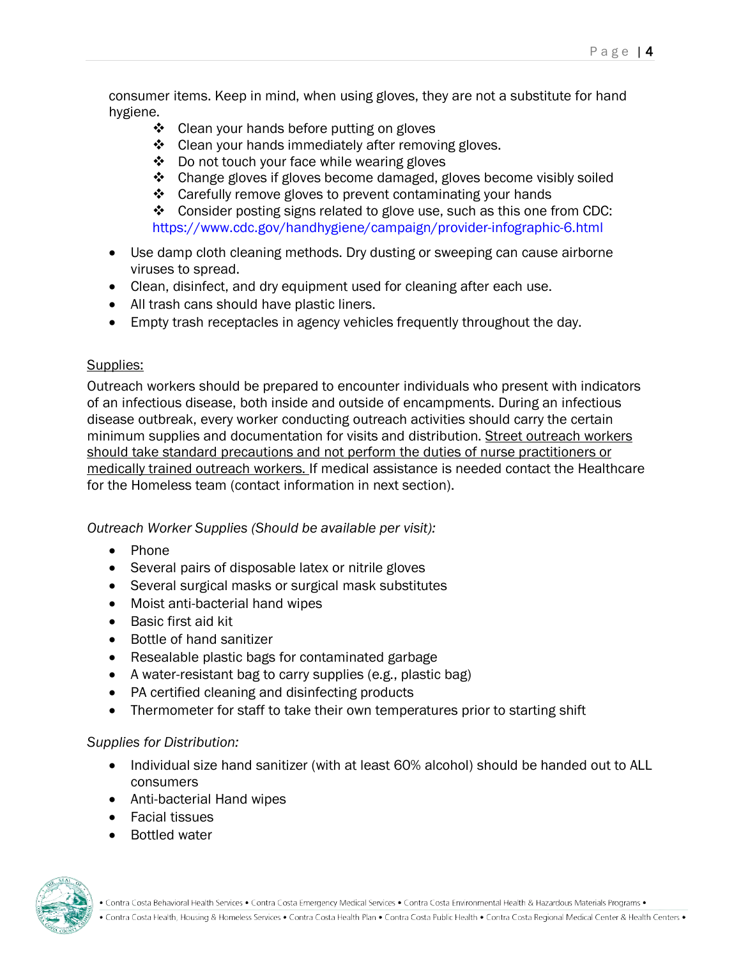consumer items. Keep in mind, when using gloves, they are not a substitute for hand hygiene.

- ❖ Clean your hands before putting on gloves
- ❖ Clean your hands immediately after removing gloves.
- ❖ Do not touch your face while wearing gloves
- $\triangle$  Change gloves if gloves become damaged, gloves become visibly soiled
- Carefully remove gloves to prevent contaminating your hands

 $\cdot \cdot$  Consider posting signs related to glove use, such as this one from CDC: https://www.cdc.gov/handhygiene/campaign/provider-infographic-6.html

- Use damp cloth cleaning methods. Dry dusting or sweeping can cause airborne viruses to spread.
- Clean, disinfect, and dry equipment used for cleaning after each use.
- All trash cans should have plastic liners.
- Empty trash receptacles in agency vehicles frequently throughout the day.

#### Supplies:

Outreach workers should be prepared to encounter individuals who present with indicators of an infectious disease, both inside and outside of encampments. During an infectious disease outbreak, every worker conducting outreach activities should carry the certain minimum supplies and documentation for visits and distribution. Street outreach workers should take standard precautions and not perform the duties of nurse practitioners or medically trained outreach workers. If medical assistance is needed contact the Healthcare for the Homeless team (contact information in next section).

*Outreach Worker Supplies (Should be available per visit):*

- Phone
- Several pairs of disposable latex or nitrile gloves
- Several surgical masks or surgical mask substitutes
- Moist anti-bacterial hand wipes
- Basic first aid kit
- Bottle of hand sanitizer
- Resealable plastic bags for contaminated garbage
- A water-resistant bag to carry supplies (e.g., plastic bag)
- PA certified cleaning and disinfecting products
- Thermometer for staff to take their own temperatures prior to starting shift

#### *Supplies for Distribution:*

- Individual size hand sanitizer (with at least 60% alcohol) should be handed out to ALL consumers
- Anti-bacterial Hand wipes
- Facial tissues
- Bottled water

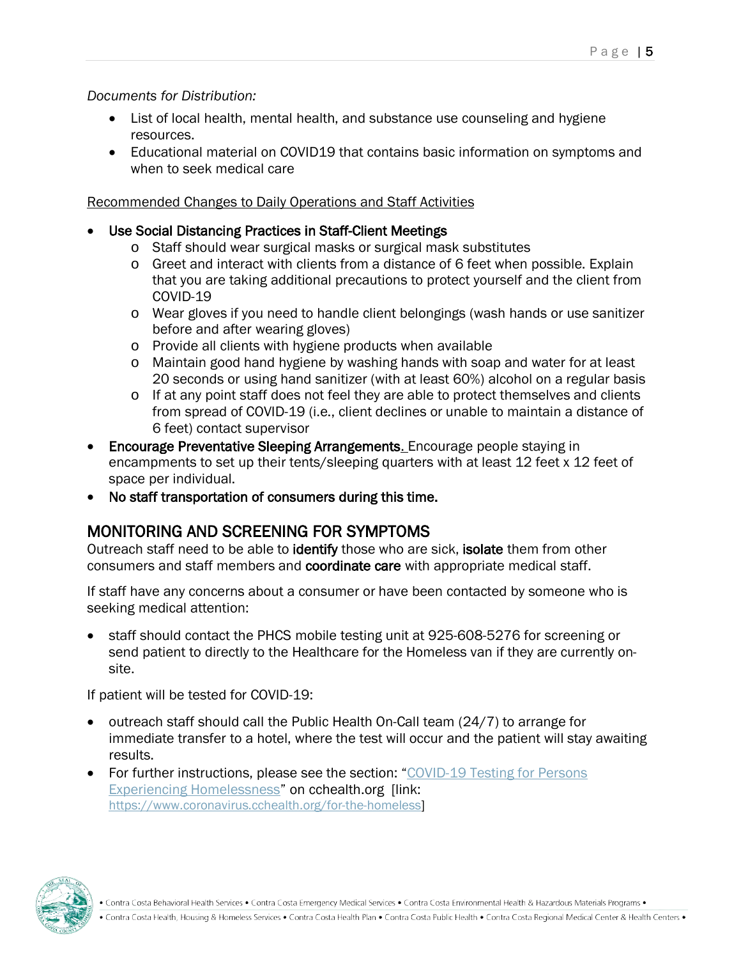#### *Documents for Distribution:*

- List of local health, mental health, and substance use counseling and hygiene resources.
- Educational material on COVID19 that contains basic information on symptoms and when to seek medical care

#### Recommended Changes to Daily Operations and Staff Activities

#### • Use Social Distancing Practices in Staff-Client Meetings

- o Staff should wear surgical masks or surgical mask substitutes
- o Greet and interact with clients from a distance of 6 feet when possible. Explain that you are taking additional precautions to protect yourself and the client from COVID-19
- o Wear gloves if you need to handle client belongings (wash hands or use sanitizer before and after wearing gloves)
- o Provide all clients with hygiene products when available
- o Maintain good hand hygiene by washing hands with soap and water for at least 20 seconds or using hand sanitizer (with at least 60%) alcohol on a regular basis
- o If at any point staff does not feel they are able to protect themselves and clients from spread of COVID-19 (i.e., client declines or unable to maintain a distance of 6 feet) contact supervisor
- Encourage Preventative Sleeping Arrangements. Encourage people staying in encampments to set up their tents/sleeping quarters with at least 12 feet x 12 feet of space per individual.
- No staff transportation of consumers during this time.

## MONITORING AND SCREENING FOR SYMPTOMS

Outreach staff need to be able to identify those who are sick, isolate them from other consumers and staff members and coordinate care with appropriate medical staff.

If staff have any concerns about a consumer or have been contacted by someone who is seeking medical attention:

• staff should contact the PHCS mobile testing unit at 925-608-5276 for screening or send patient to directly to the Healthcare for the Homeless van if they are currently onsite.

If patient will be tested for COVID-19:

- outreach staff should call the Public Health On-Call team (24/7) to arrange for immediate transfer to a hotel, where the test will occur and the patient will stay awaiting results.
- For further instructions, please see the section: "COVID-19 Testing for Persons [Experiencing Homelessness"](https://www.coronavirus.cchealth.org/for-the-homeless) on cchealth.org [link: [https://www.coronavirus.cchealth.org/for-the-homeless\]](https://www.coronavirus.cchealth.org/for-the-homeless)



<sup>•</sup> Contra Costa Behavioral Health Services • Contra Costa Emergency Medical Services • Contra Costa Environmental Health & Hazardous Materials Programs •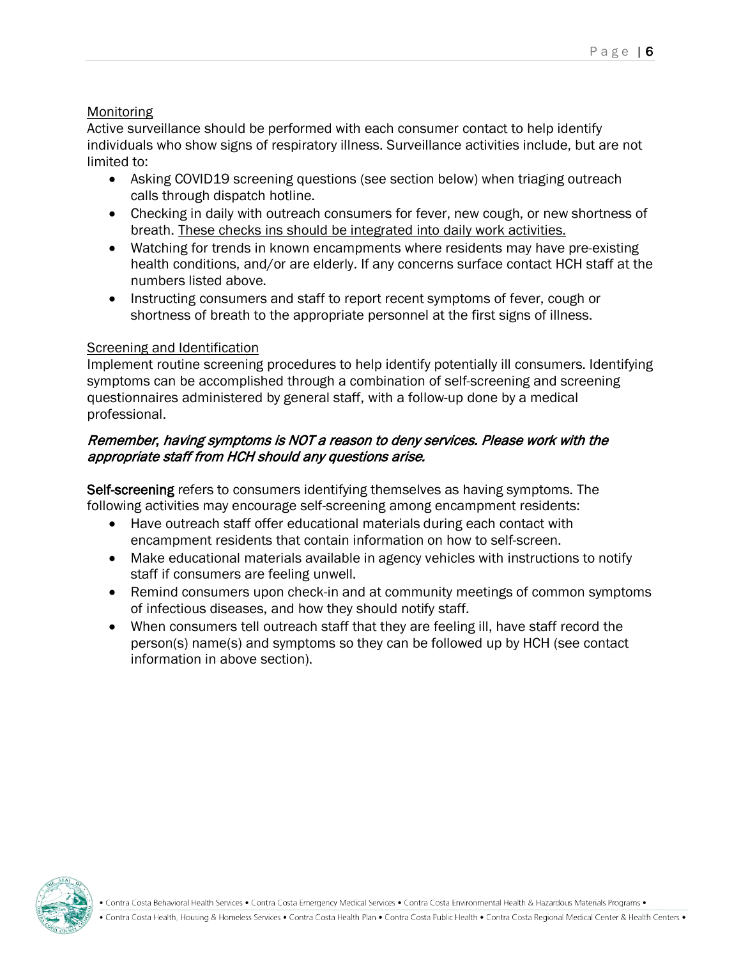#### **Monitoring**

Active surveillance should be performed with each consumer contact to help identify individuals who show signs of respiratory illness. Surveillance activities include, but are not limited to:

- Asking COVID19 screening questions (see section below) when triaging outreach calls through dispatch hotline.
- Checking in daily with outreach consumers for fever, new cough, or new shortness of breath. These checks ins should be integrated into daily work activities.
- Watching for trends in known encampments where residents may have pre-existing health conditions, and/or are elderly. If any concerns surface contact HCH staff at the numbers listed above.
- Instructing consumers and staff to report recent symptoms of fever, cough or shortness of breath to the appropriate personnel at the first signs of illness.

#### Screening and Identification

Implement routine screening procedures to help identify potentially ill consumers. Identifying symptoms can be accomplished through a combination of self-screening and screening questionnaires administered by general staff, with a follow-up done by a medical professional.

#### Remember, having symptoms is NOT a reason to deny services. Please work with the appropriate staff from HCH should any questions arise.

Self-screening refers to consumers identifying themselves as having symptoms. The following activities may encourage self-screening among encampment residents:

- Have outreach staff offer educational materials during each contact with encampment residents that contain information on how to self-screen.
- Make educational materials available in agency vehicles with instructions to notify staff if consumers are feeling unwell.
- Remind consumers upon check-in and at community meetings of common symptoms of infectious diseases, and how they should notify staff.
- When consumers tell outreach staff that they are feeling ill, have staff record the person(s) name(s) and symptoms so they can be followed up by HCH (see contact information in above section).



<sup>•</sup> Contra Costa Behavioral Health Services • Contra Costa Emergency Medical Services • Contra Costa Environmental Health & Hazardous Materials Programs •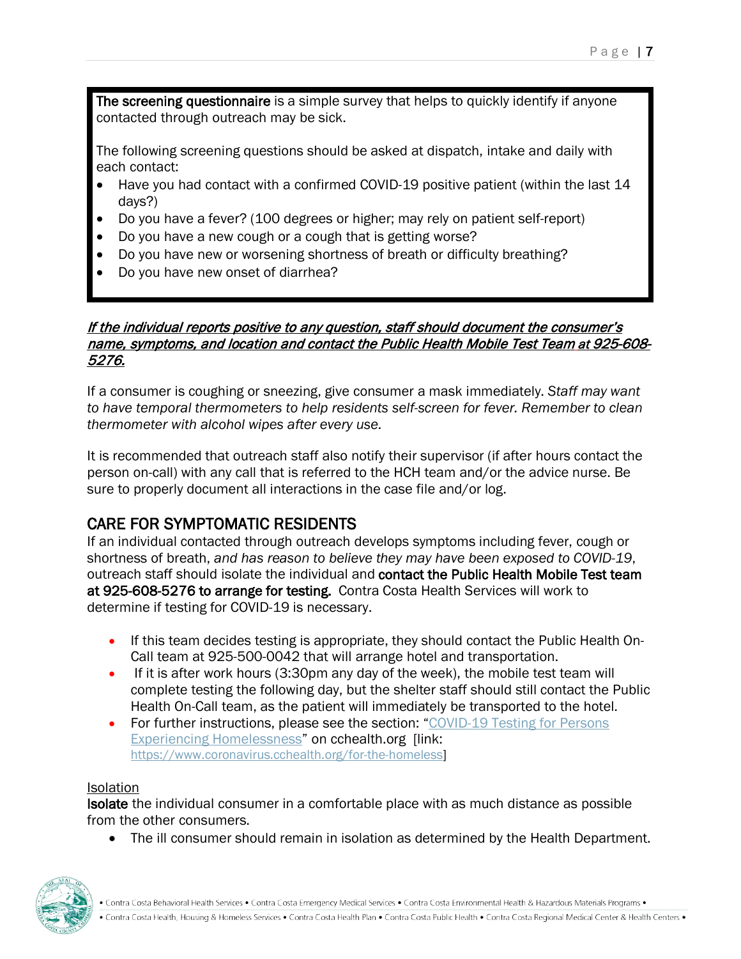The screening questionnaire is a simple survey that helps to quickly identify if anyone contacted through outreach may be sick.

The following screening questions should be asked at dispatch, intake and daily with each contact:

- Have you had contact with a confirmed COVID-19 positive patient (within the last 14 days?)
- Do you have a fever? (100 degrees or higher; may rely on patient self-report)
- Do you have a new cough or a cough that is getting worse?
- Do you have new or worsening shortness of breath or difficulty breathing?
- Do you have new onset of diarrhea?

#### If the individual reports positive to any question, staff should document the consumer's name, symptoms, and location and contact the Public Health Mobile Test Team at 925-608- 5276.

If a consumer is coughing or sneezing, give consumer a mask immediately. *Staff may want to have temporal thermometers to help residents self-screen for fever. Remember to clean thermometer with alcohol wipes after every use.*

It is recommended that outreach staff also notify their supervisor (if after hours contact the person on-call) with any call that is referred to the HCH team and/or the advice nurse. Be sure to properly document all interactions in the case file and/or log.

**CARE FOR SYMPTOMATIC RESIDENTS**<br>If an individual contacted through outreach develops symptoms including fever, cough or shortness of breath, *and has reason to believe they may have been exposed to COVID-19*, outreach staff should isolate the individual and contact the Public Health Mobile Test team at 925-608-5276 to arrange for testing. Contra Costa Health Services will work to determine if testing for COVID-19 is necessary.

- If this team decides testing is appropriate, they should contact the Public Health On-Call team at 925-500-0042 that will arrange hotel and transportation.
- If it is after work hours (3:30pm any day of the week), the mobile test team will complete testing the following day, but the shelter staff should still contact the Public Health On-Call team, as the patient will immediately be transported to the hotel.
- For further instructions, please see the section: "COVID-19 Testing for Persons [Experiencing Homelessness"](https://www.coronavirus.cchealth.org/for-the-homeless) on cchealth.org [link: [https://www.coronavirus.cchealth.org/for-the-homeless\]](https://www.coronavirus.cchealth.org/for-the-homeless)

#### Isolation

Isolate the individual consumer in a comfortable place with as much distance as possible from the other consumers.

• The ill consumer should remain in isolation as determined by the Health Department.

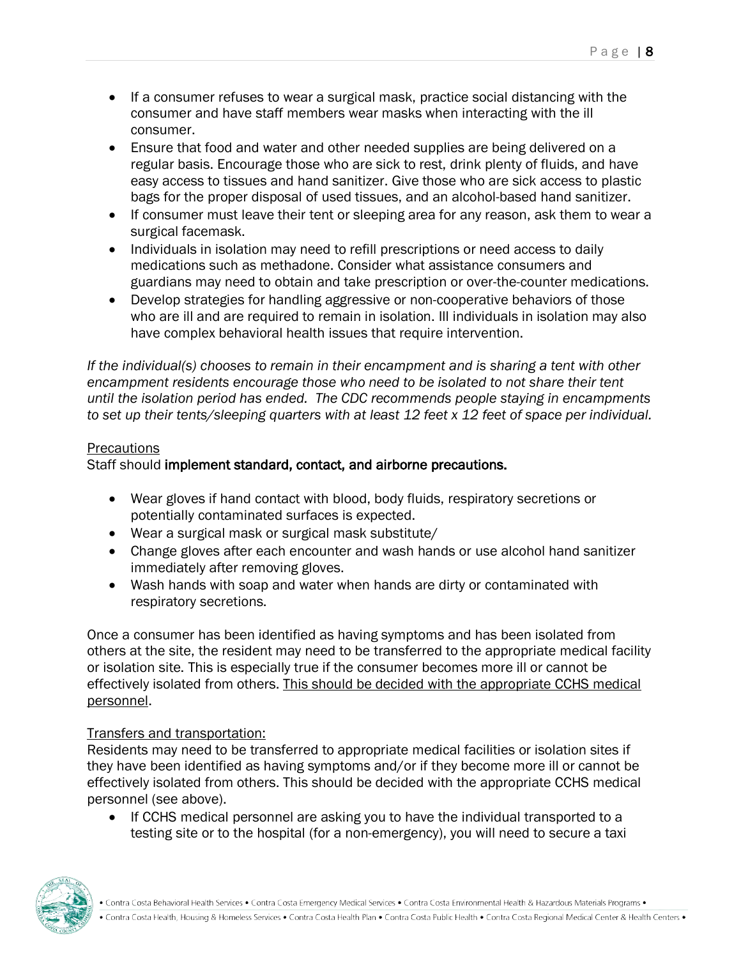- If a consumer refuses to wear a surgical mask, practice social distancing with the consumer and have staff members wear masks when interacting with the ill consumer.
- Ensure that food and water and other needed supplies are being delivered on a regular basis. Encourage those who are sick to rest, drink plenty of fluids, and have easy access to tissues and hand sanitizer. Give those who are sick access to plastic bags for the proper disposal of used tissues, and an alcohol-based hand sanitizer.
- If consumer must leave their tent or sleeping area for any reason, ask them to wear a surgical facemask.
- Individuals in isolation may need to refill prescriptions or need access to daily medications such as methadone. Consider what assistance consumers and guardians may need to obtain and take prescription or over-the-counter medications.
- Develop strategies for handling aggressive or non-cooperative behaviors of those who are ill and are required to remain in isolation. Ill individuals in isolation may also have complex behavioral health issues that require intervention.

*If the individual(s) chooses to remain in their encampment and is sharing a tent with other encampment residents encourage those who need to be isolated to not share their tent until the isolation period has ended. The CDC recommends people staying in encampments to set up their tents/sleeping quarters with at least 12 feet x 12 feet of space per individual.*

#### **Precautions**

#### Staff should implement standard, contact, and airborne precautions.

- Wear gloves if hand contact with blood, body fluids, respiratory secretions or potentially contaminated surfaces is expected.
- Wear a surgical mask or surgical mask substitute/
- Change gloves after each encounter and wash hands or use alcohol hand sanitizer immediately after removing gloves.
- Wash hands with soap and water when hands are dirty or contaminated with respiratory secretions.

Once a consumer has been identified as having symptoms and has been isolated from others at the site, the resident may need to be transferred to the appropriate medical facility or isolation site. This is especially true if the consumer becomes more ill or cannot be effectively isolated from others. This should be decided with the appropriate CCHS medical personnel.

#### Transfers and transportation:

Residents may need to be transferred to appropriate medical facilities or isolation sites if they have been identified as having symptoms and/or if they become more ill or cannot be effectively isolated from others. This should be decided with the appropriate CCHS medical personnel (see above).

• If CCHS medical personnel are asking you to have the individual transported to a testing site or to the hospital (for a non-emergency), you will need to secure a taxi

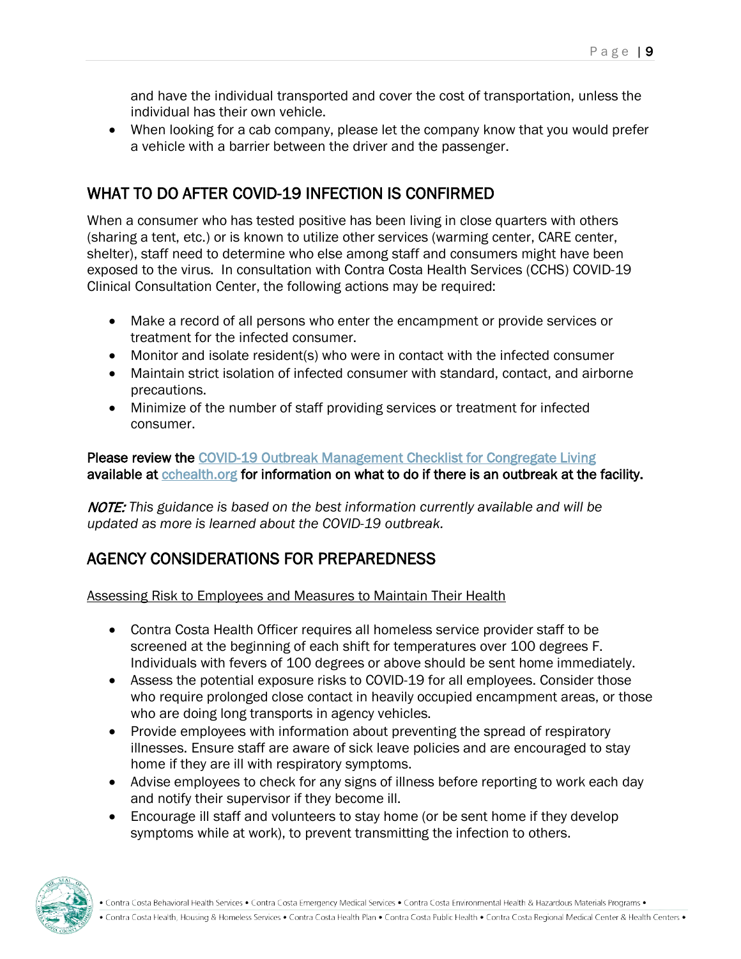and have the individual transported and cover the cost of transportation, unless the individual has their own vehicle.

• When looking for a cab company, please let the company know that you would prefer a vehicle with a barrier between the driver and the passenger.

## WHAT TO DO AFTER COVID-19 INFECTION IS CONFIRMED

When a consumer who has tested positive has been living in close quarters with others (sharing a tent, etc.) or is known to utilize other services (warming center, CARE center, shelter), staff need to determine who else among staff and consumers might have been exposed to the virus. In consultation with Contra Costa Health Services (CCHS) COVID-19 Clinical Consultation Center, the following actions may be required:

- Make a record of all persons who enter the encampment or provide services or treatment for the infected consumer.
- Monitor and isolate resident(s) who were in contact with the infected consumer
- Maintain strict isolation of infected consumer with standard, contact, and airborne precautions.
- Minimize of the number of staff providing services or treatment for infected consumer.

Please review the [COVID-19 Outbreak Management Checklist for Congregate Living](https://813dcad3-2b07-4f3f-a25e-23c48c566922.filesusr.com/ugd/84606e_a727bde57115471f831599802a461c81.pdf)  available at [cchealth.org](https://www.coronavirus.cchealth.org/for-the-homeless) for information on what to do if there is an outbreak at the facility.

NOTE: *This guidance is based on the best information currently available and will be updated as more is learned about the COVID-19 outbreak.*

## AGENCY CONSIDERATIONS FOR PREPAREDNESS

Assessing Risk to Employees and Measures to Maintain Their Health

- Contra Costa Health Officer requires all homeless service provider staff to be screened at the beginning of each shift for temperatures over 100 degrees F. Individuals with fevers of 100 degrees or above should be sent home immediately.
- Assess the potential exposure risks to COVID-19 for all employees. Consider those who require prolonged close contact in heavily occupied encampment areas, or those who are doing long transports in agency vehicles.
- Provide employees with information about preventing the spread of respiratory illnesses. Ensure staff are aware of sick leave policies and are encouraged to stay home if they are ill with respiratory symptoms.
- Advise employees to check for any signs of illness before reporting to work each day and notify their supervisor if they become ill.
- Encourage ill staff and volunteers to stay home (or be sent home if they develop symptoms while at work), to prevent transmitting the infection to others.

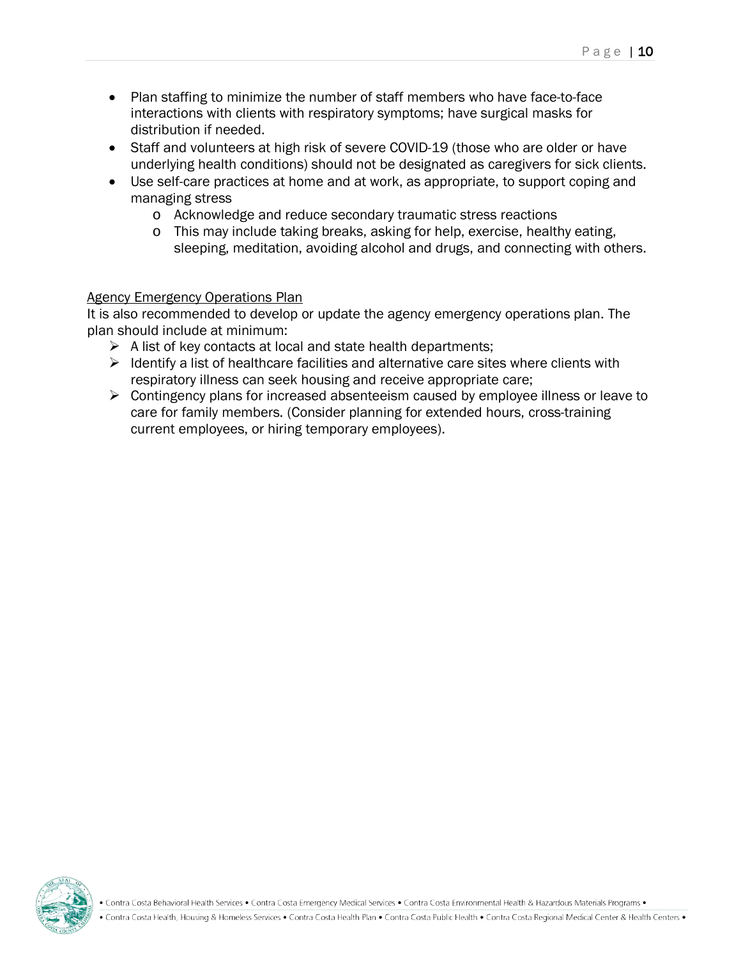- Plan staffing to minimize the number of staff members who have face-to-face interactions with clients with respiratory symptoms; have surgical masks for distribution if needed.
- Staff and volunteers at high risk of severe COVID-19 (those who are older or have underlying health conditions) should not be designated as caregivers for sick clients.
- Use self-care practices at home and at work, as appropriate, to support coping and managing stress
	- o Acknowledge and reduce secondary traumatic stress reactions
	- o This may include taking breaks, asking for help, exercise, healthy eating, sleeping, meditation, avoiding alcohol and drugs, and connecting with others.

#### Agency Emergency Operations Plan

It is also recommended to develop or update the agency emergency operations plan. The plan should include at minimum:

- $\triangleright$  A list of key contacts at local and state health departments;
- $\triangleright$  Identify a list of healthcare facilities and alternative care sites where clients with respiratory illness can seek housing and receive appropriate care;
- $\triangleright$  Contingency plans for increased absenteeism caused by employee illness or leave to care for family members. (Consider planning for extended hours, cross-training current employees, or hiring temporary employees).